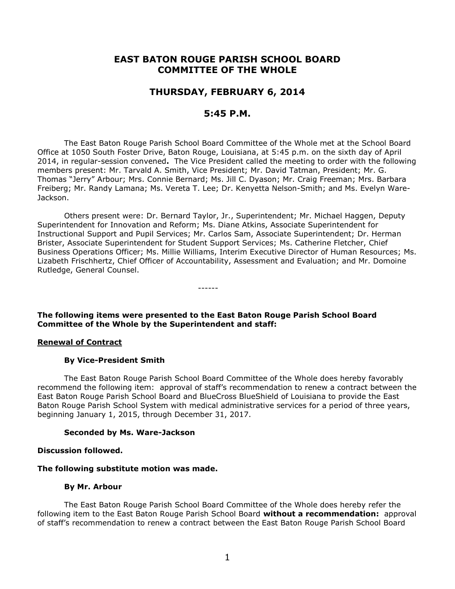# **EAST BATON ROUGE PARISH SCHOOL BOARD COMMITTEE OF THE WHOLE**

## **THURSDAY, FEBRUARY 6, 2014**

## **5:45 P.M.**

The East Baton Rouge Parish School Board Committee of the Whole met at the School Board Office at 1050 South Foster Drive, Baton Rouge, Louisiana, at 5:45 p.m. on the sixth day of April 2014, in regular-session convened**.** The Vice President called the meeting to order with the following members present: Mr. Tarvald A. Smith, Vice President; Mr. David Tatman, President; Mr. G. Thomas "Jerry" Arbour; Mrs. Connie Bernard; Ms. Jill C. Dyason; Mr. Craig Freeman; Mrs. Barbara Freiberg; Mr. Randy Lamana; Ms. Vereta T. Lee; Dr. Kenyetta Nelson-Smith; and Ms. Evelyn Ware-Jackson.

Others present were: Dr. Bernard Taylor, Jr., Superintendent; Mr. Michael Haggen, Deputy Superintendent for Innovation and Reform; Ms. Diane Atkins, Associate Superintendent for Instructional Support and Pupil Services; Mr. Carlos Sam, Associate Superintendent; Dr. Herman Brister, Associate Superintendent for Student Support Services; Ms. Catherine Fletcher, Chief Business Operations Officer; Ms. Millie Williams, Interim Executive Director of Human Resources; Ms. Lizabeth Frischhertz, Chief Officer of Accountability, Assessment and Evaluation; and Mr. Domoine Rutledge, General Counsel.

**The following items were presented to the East Baton Rouge Parish School Board Committee of the Whole by the Superintendent and staff:**

------

#### **Renewal of Contract**

#### **By Vice-President Smith**

The East Baton Rouge Parish School Board Committee of the Whole does hereby favorably recommend the following item: approval of staff's recommendation to renew a contract between the East Baton Rouge Parish School Board and BlueCross BlueShield of Louisiana to provide the East Baton Rouge Parish School System with medical administrative services for a period of three years, beginning January 1, 2015, through December 31, 2017.

#### **Seconded by Ms. Ware-Jackson**

#### **Discussion followed.**

#### **The following substitute motion was made.**

#### **By Mr. Arbour**

The East Baton Rouge Parish School Board Committee of the Whole does hereby refer the following item to the East Baton Rouge Parish School Board **without a recommendation:** approval of staff's recommendation to renew a contract between the East Baton Rouge Parish School Board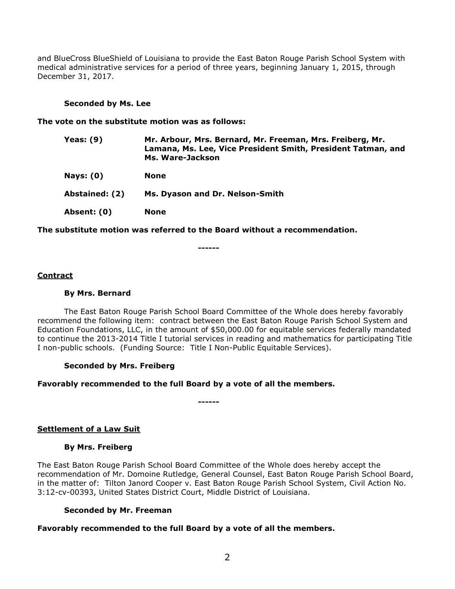and BlueCross BlueShield of Louisiana to provide the East Baton Rouge Parish School System with medical administrative services for a period of three years, beginning January 1, 2015, through December 31, 2017.

### **Seconded by Ms. Lee**

#### **The vote on the substitute motion was as follows:**

| <b>Yeas: (9)</b> | Mr. Arbour, Mrs. Bernard, Mr. Freeman, Mrs. Freiberg, Mr.<br>Lamana, Ms. Lee, Vice President Smith, President Tatman, and<br>Ms. Ware-Jackson |
|------------------|-----------------------------------------------------------------------------------------------------------------------------------------------|
| <b>Nays: (0)</b> | <b>None</b>                                                                                                                                   |
| Abstained: (2)   | Ms. Dyason and Dr. Nelson-Smith                                                                                                               |
| Absent: (0)      | <b>None</b>                                                                                                                                   |

**The substitute motion was referred to the Board without a recommendation.**

**------**

## **Contract**

#### **By Mrs. Bernard**

The East Baton Rouge Parish School Board Committee of the Whole does hereby favorably recommend the following item: contract between the East Baton Rouge Parish School System and Education Foundations, LLC, in the amount of \$50,000.00 for equitable services federally mandated to continue the 2013-2014 Title I tutorial services in reading and mathematics for participating Title I non-public schools. (Funding Source: Title I Non-Public Equitable Services).

## **Seconded by Mrs. Freiberg**

## **Favorably recommended to the full Board by a vote of all the members.**

**------**

## **Settlement of a Law Suit**

## **By Mrs. Freiberg**

The East Baton Rouge Parish School Board Committee of the Whole does hereby accept the recommendation of Mr. Domoine Rutledge, General Counsel, East Baton Rouge Parish School Board, in the matter of: Tilton Janord Cooper v. East Baton Rouge Parish School System, Civil Action No. 3:12-cv-00393, United States District Court, Middle District of Louisiana.

## **Seconded by Mr. Freeman**

## **Favorably recommended to the full Board by a vote of all the members.**